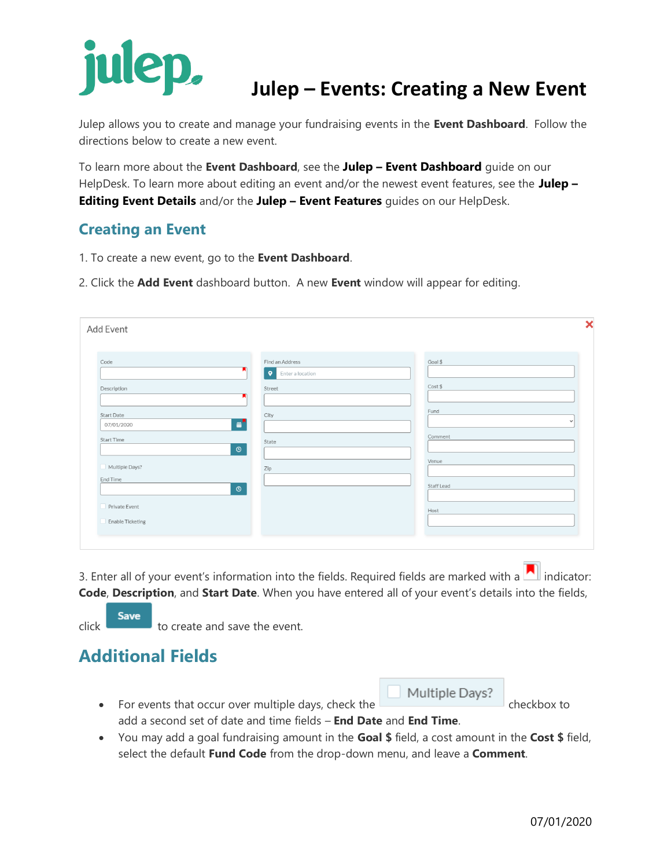# **Julep – Events: Creating a New Event**

Julep allows you to create and manage your fundraising events in the **Event Dashboard**. Follow the directions below to create a new event.

To learn more about the **Event Dashboard**, see the **Julep – Event Dashboard** guide on our HelpDesk. To learn more about editing an event and/or the newest event features, see the **Julep – Editing Event Details** and/or the **Julep – Event Features** guides on our HelpDesk.

#### **Creating an Event**

- 1. To create a new event, go to the **Event Dashboard**.
- 2. Click the **Add Event** dashboard button. A new **Event** window will appear for editing.

| Code              | Find an Address               | Goal \$      |
|-------------------|-------------------------------|--------------|
|                   | $\bullet$<br>Enter a location |              |
| Description       | Street                        | Cost \$      |
|                   |                               |              |
| <b>Start Date</b> | City                          | Fund         |
| 07/01/2020        | 鄙                             | $\checkmark$ |
| Start Time        | State                         | Comment      |
|                   | $\odot$                       |              |
| Multiple Days?    |                               | Venue        |
| End Time          | Zip                           |              |
|                   | $\circ$                       | Staff Lead   |
|                   |                               |              |
| Private Event     |                               | Host         |

3. Enter all of your event's information into the fields. Required fields are marked with a  $\Box$  indicator: **Code**, **Description**, and **Start Date**. When you have entered all of your event's details into the fields,

**Save**  $\frac{1}{\sqrt{1-\frac{1}{\sqrt{1-\frac{1}{\sqrt{1-\frac{1}{\sqrt{1-\frac{1}{\sqrt{1-\frac{1}{\sqrt{1-\frac{1}{\sqrt{1-\frac{1}{\sqrt{1-\frac{1}{\sqrt{1-\frac{1}{\sqrt{1-\frac{1}{\sqrt{1-\frac{1}{\sqrt{1-\frac{1}{\sqrt{1-\frac{1}{\sqrt{1-\frac{1}{\sqrt{1-\frac{1}{\sqrt{1-\frac{1}{\sqrt{1-\frac{1}{\sqrt{1-\frac{1}{\sqrt{1-\frac{1}{\sqrt{1-\frac{1}{\sqrt{1-\frac{1}{\sqrt{1-\frac{1}{\sqrt{1-\frac{1}{\sqrt{1-\frac{1$ 

### **Additional Fields**

- Multiple Days? • For events that occur over multiple days, check the checkbox to add a second set of date and time fields – **End Date** and **End Time**.
- You may add a goal fundraising amount in the **Goal \$** field, a cost amount in the **Cost \$** field, select the default **Fund Code** from the drop-down menu, and leave a **Comment**.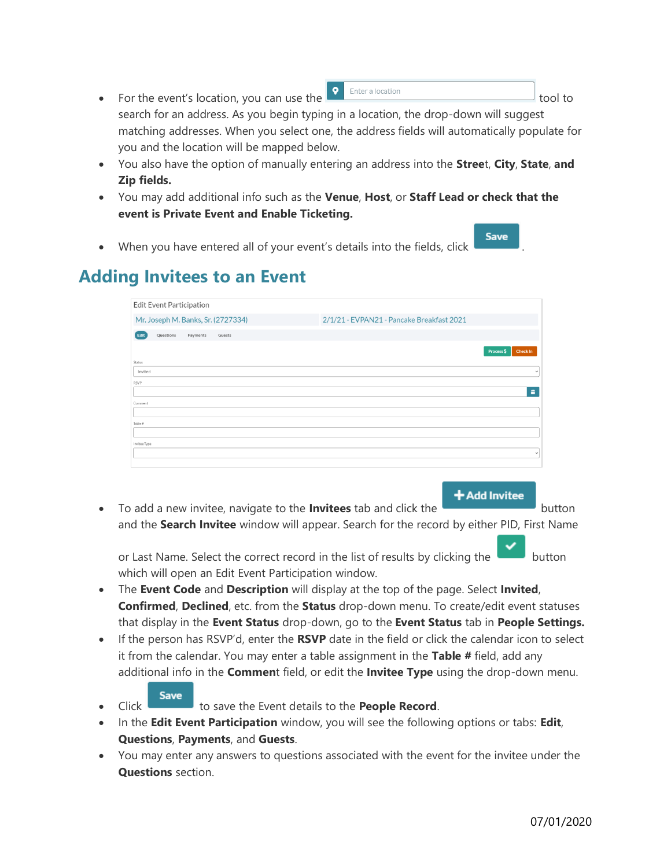- For the event's location, you can use the  $\frac{1}{\sqrt{2}}$  Enteralocation search for an address. As you begin typing in a location, the drop-down will suggest matching addresses. When you select one, the address fields will automatically populate for you and the location will be mapped below.
- You also have the option of manually entering an address into the **Stree**t, **City**, **State**, **and Zip fields.**

**Save** 

- You may add additional info such as the **Venue**, **Host**, or **Staff Lead or check that the event is Private Event and Enable Ticketing.**
- When you have entered all of your event's details into the fields, click

# **Adding Invitees to an Event**

|              | Edit Event Participation |          |                                    |                                           |            |                 |
|--------------|--------------------------|----------|------------------------------------|-------------------------------------------|------------|-----------------|
|              |                          |          | Mr. Joseph M. Banks, Sr. (2727334) | 2/1/21 - EVPAN21 - Pancake Breakfast 2021 |            |                 |
| Edit         | Questions                | Payments | Guests                             |                                           |            |                 |
|              |                          |          |                                    |                                           | Process \$ | <b>Check In</b> |
| Status       |                          |          |                                    |                                           |            |                 |
| Invited      |                          |          |                                    |                                           |            | $\checkmark$    |
| <b>RSVP</b>  |                          |          |                                    |                                           |            |                 |
|              |                          |          |                                    |                                           |            | 苗               |
| Comment      |                          |          |                                    |                                           |            |                 |
|              |                          |          |                                    |                                           |            |                 |
| Table #      |                          |          |                                    |                                           |            |                 |
|              |                          |          |                                    |                                           |            |                 |
| Invitee Type |                          |          |                                    |                                           |            |                 |
|              |                          |          |                                    |                                           |            | $\checkmark$    |
|              |                          |          |                                    |                                           |            |                 |

**+Add Invitee** • To add a new invitee, navigate to the **Invitees** tab and click the button and the **Search Invitee** window will appear. Search for the record by either PID, First Name

or Last Name. Select the correct record in the list of results by clicking the which will open an Edit Event Participation window.

- The **Event Code** and **Description** will display at the top of the page. Select **Invited**, **Confirmed**, **Declined**, etc. from the **Status** drop-down menu. To create/edit event statuses that display in the **Event Status** drop-down, go to the **Event Status** tab in **People Settings.**
- If the person has RSVP'd, enter the **RSVP** date in the field or click the calendar icon to select it from the calendar. You may enter a table assignment in the **Table #** field, add any additional info in the **Commen**t field, or edit the **Invitee Type** using the drop-down menu.
- **Save Click** to save the Event details to the **People Record**.
- In the **Edit Event Participation** window, you will see the following options or tabs: **Edit**, **Questions**, **Payments**, and **Guests**.
- You may enter any answers to questions associated with the event for the invitee under the **Questions** section.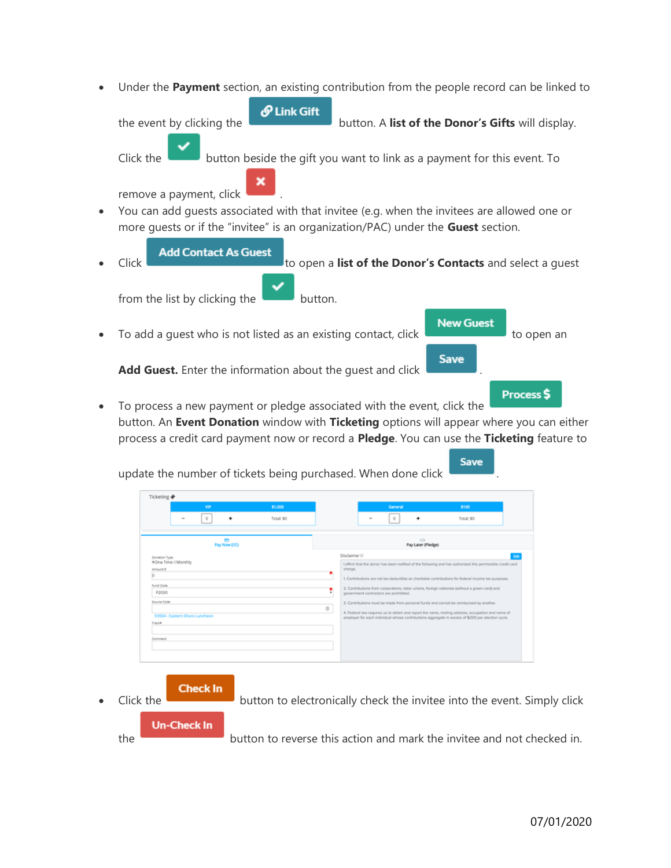• Under the **Payment** section, an existing contribution from the people record can be linked to



**Add Contact As Guest** • Click to open a **list of the Donor's Contacts** and select a guest from the list by clicking the **button**.

**New Guest** 

**Save** 

**Save** 

To add a quest who is not listed as an existing contact, click the state of to open an

Add Guest. Enter the information about the quest and click

Process \$ • To process a new payment or pledge associated with the event, click the button. An **Event Donation** window with **Ticketing** options will appear where you can either process a credit card payment now or record a **Pledge**. You can use the **Ticketing** feature to

update the number of tickets being purchased. When done click

| Disclaimer III<br>Donation Type<br>#One Time @Monthly<br>I affirm that the donor has been notified of the following and has authorized this permissible credit card<br>charge.<br>Amount \$<br>O<br>1. Contributions are not tax deductible as charitable contributions for federal income tax purposes.<br>Fund Code<br>2. Contributions from corporations, labor unions, foreign nationals (without a green card) and<br>ņ<br>P2020<br>government contractors are prohibited.<br>Source Code<br>3. Contributions must be made from personal funds and cannot be reimbursed by another.<br>4. Federal law requires us to obtain and report the name, mailing address, occupation and name of<br>EV004 - Eastern Shore Luncheon<br>employer for each individual whose contributions aggregate in excess of \$200 per election cycle. |
|--------------------------------------------------------------------------------------------------------------------------------------------------------------------------------------------------------------------------------------------------------------------------------------------------------------------------------------------------------------------------------------------------------------------------------------------------------------------------------------------------------------------------------------------------------------------------------------------------------------------------------------------------------------------------------------------------------------------------------------------------------------------------------------------------------------------------------------|
|--------------------------------------------------------------------------------------------------------------------------------------------------------------------------------------------------------------------------------------------------------------------------------------------------------------------------------------------------------------------------------------------------------------------------------------------------------------------------------------------------------------------------------------------------------------------------------------------------------------------------------------------------------------------------------------------------------------------------------------------------------------------------------------------------------------------------------------|

the **button to reverse this action and mark the invitee and not checked in.**